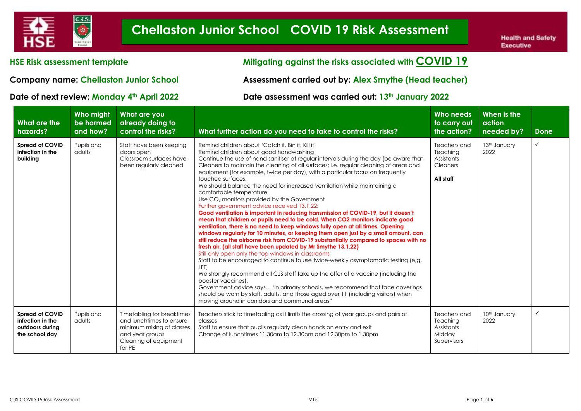

#### **HSE Risk assessment template Mitigating against the risks associated with COVID 19**

**Company name: Chellaston Junior School Assessment carried out by: Alex Smythe (Head teacher)**

#### **Date of next review: Monday 4th April 2022 Date assessment was carried out: 13th January 2022**

| <b>What are the</b><br>hazards?                                                 | Who might<br>be harmed<br>and how? | What are you<br>already doing to<br>control the risks?                                                                                    | What further action do you need to take to control the risks?                                                                                                                                                                                                                                                                                                                                                                                                                                                                                                                                                                                                                                                                                                                                                                                                                                                                                                                                                                                                                                                                                                                                                                                                                                                                                                                                                                                                                                                                                                                                      | Who needs<br>to carry out<br>the action?                               | When is the<br>action<br>needed by? | Done         |
|---------------------------------------------------------------------------------|------------------------------------|-------------------------------------------------------------------------------------------------------------------------------------------|----------------------------------------------------------------------------------------------------------------------------------------------------------------------------------------------------------------------------------------------------------------------------------------------------------------------------------------------------------------------------------------------------------------------------------------------------------------------------------------------------------------------------------------------------------------------------------------------------------------------------------------------------------------------------------------------------------------------------------------------------------------------------------------------------------------------------------------------------------------------------------------------------------------------------------------------------------------------------------------------------------------------------------------------------------------------------------------------------------------------------------------------------------------------------------------------------------------------------------------------------------------------------------------------------------------------------------------------------------------------------------------------------------------------------------------------------------------------------------------------------------------------------------------------------------------------------------------------------|------------------------------------------------------------------------|-------------------------------------|--------------|
| <b>Spread of COVID</b><br>infection in the<br>building                          | Pupils and<br>adults               | Staff have been keeping<br>doors open<br>Classroom surfaces have<br>been regularly cleaned                                                | Remind children about 'Catch it, Bin it, Kill it'<br>Remind children about good handwashing<br>Continue the use of hand sanitiser at regular intervals during the day (be aware that<br>Cleaners to maintain the cleaning of all surfaces; i.e. regular cleaning of areas and<br>equipment (for example, twice per day), with a particular focus on frequently<br>touched surfaces.<br>We should balance the need for increased ventilation while maintaining a<br>comfortable temperature<br>Use CO <sub>2</sub> monitors provided by the Government<br>Further government advice received 13.1.22:<br>Good ventilation is important in reducing transmission of COVID-19, but it doesn't<br>mean that children or pupils need to be cold. When CO2 monitors indicate good<br>ventilation, there is no need to keep windows fully open at all times. Opening<br>windows regularly for 10 minutes, or keeping them open just by a small amount, can<br>still reduce the airborne risk from COVID-19 substantially compared to spaces with no<br>fresh air. (all staff have been updated by Mr Smythe 13.1.22)<br>Still only open only the top windows in classrooms<br>Staff to be encouraged to continue to use twice-weekly asymptomatic testing (e.g.<br>LFT)<br>We strongly recommend all CJS staff take up the offer of a vaccine (including the<br>booster vaccines).<br>Government advice says "in primary schools, we recommend that face coverings<br>should be worn by staff, adults, and those aged over 11 (including visitors) when<br>moving around in corridors and communal areas" | Teachers and<br>Teaching<br>Assistants<br><b>Cleaners</b><br>All staff | 13th January<br>2022                | ✓            |
| <b>Spread of COVID</b><br>infection in the<br>outdoors during<br>the school day | Pupils and<br>adults               | Timetabling for breaktimes<br>and lunchtimes to ensure<br>minimum mixing of classes<br>and year groups<br>Cleaning of equipment<br>for PE | Teachers stick to timetabling as it limits the crossing of year groups and pairs of<br>classes<br>Staff to ensure that pupils regularly clean hands on entry and exit<br>Change of lunchtimes 11.30am to 12.30pm and 12.30pm to 1.30pm                                                                                                                                                                                                                                                                                                                                                                                                                                                                                                                                                                                                                                                                                                                                                                                                                                                                                                                                                                                                                                                                                                                                                                                                                                                                                                                                                             | Teachers and<br>Teaching<br>Assistants<br>Midday<br>Supervisors        | 10 <sup>th</sup> January<br>2022    | $\checkmark$ |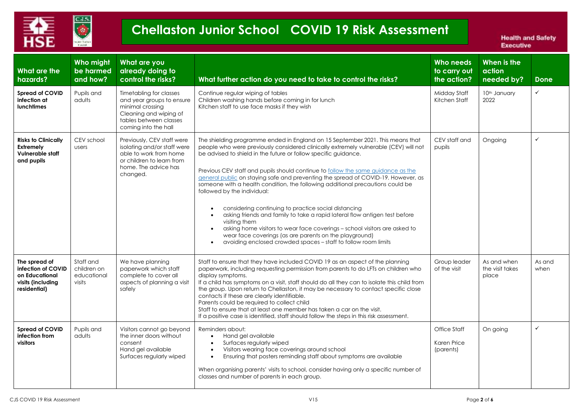

| What are the<br>hazards?                                                                   | Who might<br>be harmed<br>and how?                | What are you<br>already doing to<br>control the risks?                                                                                               | What further action do you need to take to control the risks?                                                                                                                                                                                                                                                                                                                                                                                                                                                                                                                                                                                                                                                                                                                                                                                                                                                     | <b>Who needs</b><br>to carry out<br>the action? | When is the<br>action<br>needed by?     | <b>Done</b>    |
|--------------------------------------------------------------------------------------------|---------------------------------------------------|------------------------------------------------------------------------------------------------------------------------------------------------------|-------------------------------------------------------------------------------------------------------------------------------------------------------------------------------------------------------------------------------------------------------------------------------------------------------------------------------------------------------------------------------------------------------------------------------------------------------------------------------------------------------------------------------------------------------------------------------------------------------------------------------------------------------------------------------------------------------------------------------------------------------------------------------------------------------------------------------------------------------------------------------------------------------------------|-------------------------------------------------|-----------------------------------------|----------------|
| <b>Spread of COVID</b><br>infection at<br><b>lunchtimes</b>                                | Pupils and<br>adults                              | Timetabling for classes<br>and year groups to ensure<br>minimal crossing<br>Cleaning and wiping of<br>tables between classes<br>coming into the hall | Continue regular wiping of tables<br>Children washing hands before coming in for lunch<br>Kitchen staff to use face masks if they wish                                                                                                                                                                                                                                                                                                                                                                                                                                                                                                                                                                                                                                                                                                                                                                            | Midday Staff<br>Kitchen Staff                   | 10th January<br>2022                    | $\checkmark$   |
| <b>Risks to Clinically</b><br><b>Extremely</b><br>Vulnerable staff<br>and pupils           | CEV school<br>users                               | Previously, CEV staff were<br>isolating and/or staff were<br>able to work from home<br>or children to learn from<br>home. The advice has<br>changed. | The shielding programme ended in England on 15 September 2021. This means that<br>people who were previously considered clinically extremely vulnerable (CEV) will not<br>be advised to shield in the future or follow specific guidance.<br>Previous CEV staff and pupils should continue to follow the same guidance as the<br>general public on staying safe and preventing the spread of COVID-19. However, as<br>someone with a health condition, the following additional precautions could be<br>followed by the individual:<br>considering continuing to practice social distancing<br>$\bullet$<br>asking friends and family to take a rapid lateral flow antigen test before<br>visiting them<br>asking home visitors to wear face coverings - school visitors are asked to<br>wear face coverings (as are parents on the playground)<br>avoiding enclosed crowded spaces - staff to follow room limits | CEV staff and<br>pupils                         | Ongoing                                 | $\checkmark$   |
| The spread of<br>infection of COVID<br>on Educational<br>visits (including<br>residential) | Staff and<br>children on<br>educational<br>visits | We have planning<br>paperwork which staff<br>complete to cover all<br>aspects of planning a visit<br>safely                                          | Staff to ensure that they have included COVID 19 as an aspect of the planning<br>paperwork, including requesting permission from parents to do LFTs on children who<br>display symptoms.<br>If a child has symptoms on a visit, staff should do all they can to isolate this child from<br>the group. Upon return to Chellaston, it may be necessary to contact specific close<br>contacts if these are clearly identifiable.<br>Parents could be required to collect child<br>Staff to ensure that at least one member has taken a car on the visit.<br>If a positive case is identified, staff should follow the steps in this risk assessment.                                                                                                                                                                                                                                                                 | Group leader<br>of the visit                    | As and when<br>the visit takes<br>place | As and<br>when |
| <b>Spread of COVID</b><br>infection from<br>visitors                                       | Pupils and<br>adults                              | Visitors cannot go beyond<br>the inner doors without<br>consent<br>Hand gel available<br>Surfaces regularly wiped                                    | Reminders about:<br>Hand gel available<br>$\bullet$<br>Surfaces regularly wiped<br>Visitors wearing face coverings around school<br>$\bullet$<br>Ensuring that posters reminding staff about symptoms are available<br>$\bullet$<br>When organising parents' visits to school, consider having only a specific number of<br>classes and number of parents in each group.                                                                                                                                                                                                                                                                                                                                                                                                                                                                                                                                          | Office Staff<br>Karen Price<br>(parents)        | On going                                | $\checkmark$   |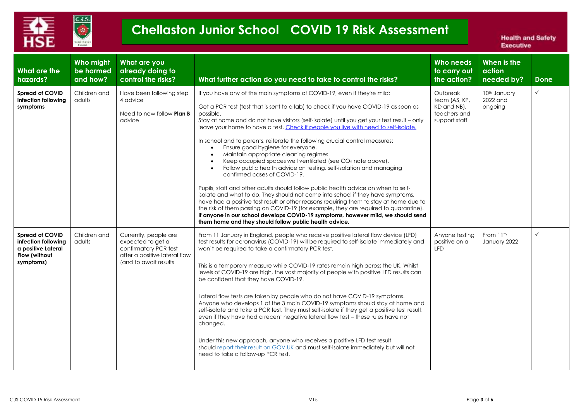

| <b>What are the</b><br>hazards?                                                                   | Who might<br>be harmed<br>and how? | What are you<br>already doing to<br>control the risks?                                                                         | What further action do you need to take to control the risks?                                                                                                                                                                                                                                                                                                                                                                                                                                                                                                                                                                                                                                                                                                                                                                                                                                                                                                                                                                                                                                                                                                                                                                           | Who needs<br>to carry out<br>the action?                                  | When is the<br>action<br>needed by? | <b>Done</b>  |
|---------------------------------------------------------------------------------------------------|------------------------------------|--------------------------------------------------------------------------------------------------------------------------------|-----------------------------------------------------------------------------------------------------------------------------------------------------------------------------------------------------------------------------------------------------------------------------------------------------------------------------------------------------------------------------------------------------------------------------------------------------------------------------------------------------------------------------------------------------------------------------------------------------------------------------------------------------------------------------------------------------------------------------------------------------------------------------------------------------------------------------------------------------------------------------------------------------------------------------------------------------------------------------------------------------------------------------------------------------------------------------------------------------------------------------------------------------------------------------------------------------------------------------------------|---------------------------------------------------------------------------|-------------------------------------|--------------|
| <b>Spread of COVID</b><br>infection following<br>symptoms                                         | Children and<br>adults             | Have been following step<br>4 advice<br>Need to now follow <b>Plan B</b><br>advice                                             | If you have any of the main symptoms of COVID-19, even if they're mild:<br>Get a PCR test (test that is sent to a lab) to check if you have COVID-19 as soon as<br>possible.<br>Stay at home and do not have visitors (self-isolate) until you get your test result - only<br>leave your home to have a test. Check if people you live with need to self-isolate.<br>In school and to parents, reiterate the following crucial control measures:<br>Ensure good hygiene for everyone.<br>Maintain appropriate cleaning regimes.<br>$\bullet$<br>Keep occupied spaces well ventilated (see CO2 note above).<br>$\bullet$<br>Follow public health advice on testing, self-isolation and managing<br>confirmed cases of COVID-19.<br>Pupils, staff and other adults should follow public health advice on when to self-<br>isolate and what to do. They should not come into school if they have symptoms,<br>have had a positive test result or other reasons requiring them to stay at home due to<br>the risk of them passing on COVID-19 (for example, they are required to quarantine).<br>If anyone in our school develops COVID-19 symptoms, however mild, we should send<br>them home and they should follow public health advice. | Outbreak<br>team (AS, KP,<br>KD and NB),<br>teachers and<br>support staff | 10th January<br>2022 and<br>ongoing | $\checkmark$ |
| <b>Spread of COVID</b><br>infection following<br>a positive Lateral<br>Flow (without<br>symptoms) | Children and<br>adults             | Currently, people are<br>expected to get a<br>confirmatory PCR test<br>after a positive lateral flow<br>(and to await results) | From 11 January in England, people who receive positive lateral flow device (LFD)<br>test results for coronavirus (COVID-19) will be required to self-isolate immediately and<br>won't be required to take a confirmatory PCR test.<br>This is a temporary measure while COVID-19 rates remain high across the UK. Whilst<br>levels of COVID-19 are high, the vast majority of people with positive LFD results can<br>be confident that they have COVID-19.<br>Lateral flow tests are taken by people who do not have COVID-19 symptoms.<br>Anyone who develops 1 of the 3 main COVID-19 symptoms should stay at home and<br>self-isolate and take a PCR test. They must self-isolate if they get a positive test result,<br>even if they have had a recent negative lateral flow test - these rules have not<br>changed.<br>Under this new approach, anyone who receives a positive LFD test result<br>should report their result on GOV.UK and must self-isolate immediately but will not<br>need to take a follow-up PCR test.                                                                                                                                                                                                      | Anyone testing<br>positive on a<br><b>LFD</b>                             | From 11th<br>January 2022           | $\checkmark$ |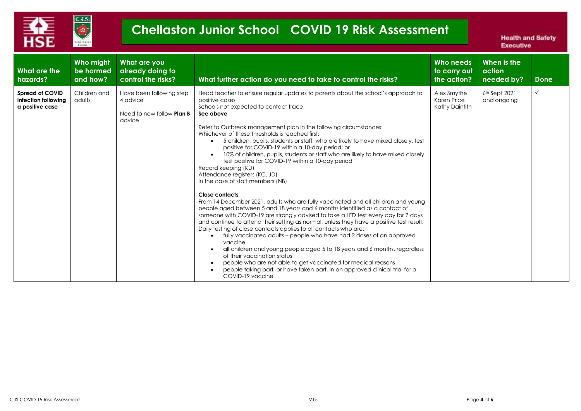

| What are the<br>hazards?                                         | Who might<br>be harmed<br>and how? | What are you<br>already doing to<br>control the risks?                             | What further action do you need to take to control the risks?                                                                                                                                                                                                                                                                                                                                                                                                                                                                                                                                                                                                                                                                                                                                                                                                                                                                                                                                                                                                                                                                                                                                                                                                                                                                                                                                                                                                                             | Who needs<br>to carry out<br>the action?     | When is the<br>action<br>needed by? | Done         |
|------------------------------------------------------------------|------------------------------------|------------------------------------------------------------------------------------|-------------------------------------------------------------------------------------------------------------------------------------------------------------------------------------------------------------------------------------------------------------------------------------------------------------------------------------------------------------------------------------------------------------------------------------------------------------------------------------------------------------------------------------------------------------------------------------------------------------------------------------------------------------------------------------------------------------------------------------------------------------------------------------------------------------------------------------------------------------------------------------------------------------------------------------------------------------------------------------------------------------------------------------------------------------------------------------------------------------------------------------------------------------------------------------------------------------------------------------------------------------------------------------------------------------------------------------------------------------------------------------------------------------------------------------------------------------------------------------------|----------------------------------------------|-------------------------------------|--------------|
| <b>Spread of COVID</b><br>infection following<br>a positive case | Children and<br>adults             | Have been following step<br>4 advice<br>Need to now follow <b>Plan B</b><br>advice | Head teacher to ensure regular updates to parents about the school's approach to<br>positive cases<br>Schools not expected to contact trace<br>See above<br>Refer to Outbreak management plan in the following circumstances:<br>Whichever of these thresholds is reached first:<br>5 children, pupils, students or staff, who are likely to have mixed closely, test<br>positive for COVID-19 within a 10-day period; or<br>10% of children, pupils, students or staff who are likely to have mixed closely<br>test positive for COVID-19 within a 10-day period<br>Record keeping (KD)<br>Attendance registers (KC, JD)<br>In the case of staff members (NB)<br>Close contacts<br>From 14 December 2021, adults who are fully vaccinated and all children and young<br>people aged between 5 and 18 years and 6 months identified as a contact of<br>someone with COVID-19 are strongly advised to take a LFD test every day for 7 days<br>and continue to attend their setting as normal, unless they have a positive test result.<br>Daily testing of close contacts applies to all contacts who are:<br>fully vaccinated adults – people who have had 2 doses of an approved<br>vaccine<br>all children and young people aged 5 to 18 years and 6 months, regardless<br>of their vaccination status<br>people who are not able to get vaccinated for medical reasons<br>$\bullet$<br>people taking part, or have taken part, in an approved clinical trial for a<br>COVID-19 vaccine | Alex Smythe<br>Karen Price<br>Kathy Daintith | $6th$ Sept 2021<br>and ongoing      | $\checkmark$ |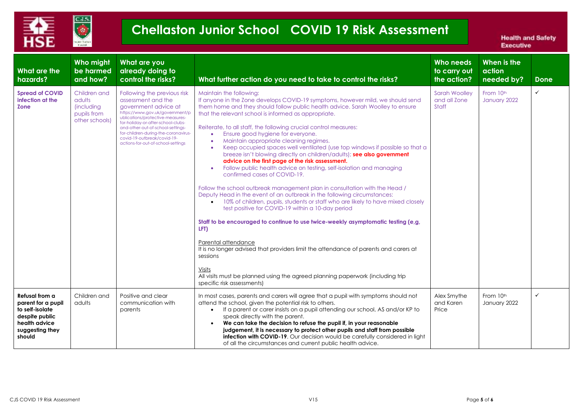

| What are the<br>hazards?                                                                                                | Who might<br>be harmed<br>and how?                                           | What are you<br>already doing to<br>control the risks?                                                                                                                                                                                                                                                                                   | What further action do you need to take to control the risks?                                                                                                                                                                                                                                                                                                                                                                                                                                                                                                                                                                                                                                                                                                                                                                                                                                                                                                                                                                                                                                                                                                                                                                                                                                                                                                                                     | Who needs<br>to carry out<br>the action?      | When is the<br>action<br>needed by? | Done         |
|-------------------------------------------------------------------------------------------------------------------------|------------------------------------------------------------------------------|------------------------------------------------------------------------------------------------------------------------------------------------------------------------------------------------------------------------------------------------------------------------------------------------------------------------------------------|---------------------------------------------------------------------------------------------------------------------------------------------------------------------------------------------------------------------------------------------------------------------------------------------------------------------------------------------------------------------------------------------------------------------------------------------------------------------------------------------------------------------------------------------------------------------------------------------------------------------------------------------------------------------------------------------------------------------------------------------------------------------------------------------------------------------------------------------------------------------------------------------------------------------------------------------------------------------------------------------------------------------------------------------------------------------------------------------------------------------------------------------------------------------------------------------------------------------------------------------------------------------------------------------------------------------------------------------------------------------------------------------------|-----------------------------------------------|-------------------------------------|--------------|
| <b>Spread of COVID</b><br>infection at the<br><b>Zone</b>                                                               | Children and<br>adults<br><i>(including</i><br>pupils from<br>other schools) | Following the previous risk<br>assessment and the<br>government advice at<br>https://www.gov.uk/government/p<br>ublications/protective-measures-<br>for-holiday-or-after-school-clubs-<br>and-other-out-of-school-settings-<br>for-children-during-the-coronavirus-<br>covid-19-outbreak/covid-19-<br>actions-for-out-of-school-settings | Maintain the following:<br>If anyone in the Zone develops COVID-19 symptoms, however mild, we should send<br>them home and they should follow public health advice. Sarah Woolley to ensure<br>that the relevant school is informed as appropriate.<br>Reiterate, to all staff, the following crucial control measures:<br>Ensure good hygiene for everyone.<br>Maintain appropriate cleaning regimes.<br>٠<br>Keep occupied spaces well ventilated (use top windows if possible so that a<br>$\bullet$<br>breeze isn't blowing directly on children/adults); see also government<br>advice on the first page of the risk assessment.<br>Follow public health advice on testing, self-isolation and managing<br>confirmed cases of COVID-19.<br>Follow the school outbreak management plan in consultation with the Head /<br>Deputy Head in the event of an outbreak in the following circumstances:<br>• 10% of children, pupils, students or staff who are likely to have mixed closely<br>test positive for COVID-19 within a 10-day period<br>Staff to be encouraged to continue to use twice-weekly asymptomatic testing (e,g,<br>LFT)<br>Parental attendance<br>It is no longer advised that providers limit the attendance of parents and carers at<br>sessions<br>Visits<br>All visits must be planned using the agreed planning paperwork (including trip<br>specific risk assessments) | <b>Sarah Woolley</b><br>and all Zone<br>Staff | From 10th<br>January 2022           | $\checkmark$ |
| Refusal from a<br>parent for a pupil<br>to self-isolate<br>despite public<br>health advice<br>suggesting they<br>should | Children and<br>adults                                                       | Positive and clear<br>communication with<br>parents                                                                                                                                                                                                                                                                                      | In most cases, parents and carers will agree that a pupil with symptoms should not<br>attend the school, given the potential risk to others.<br>If a parent or carer insists on a pupil attending our school, AS and/or KP to<br>speak directly with the parent.<br>We can take the decision to refuse the pupil if, in your reasonable<br>judgement, it is necessary to protect other pupils and staff from possible<br><b>infection with COVID-19.</b> Our decision would be carefully considered in light<br>of all the circumstances and current public health advice.                                                                                                                                                                                                                                                                                                                                                                                                                                                                                                                                                                                                                                                                                                                                                                                                                        | Alex Smythe<br>and Karen<br>Price             | From 10th<br>January 2022           | $\checkmark$ |